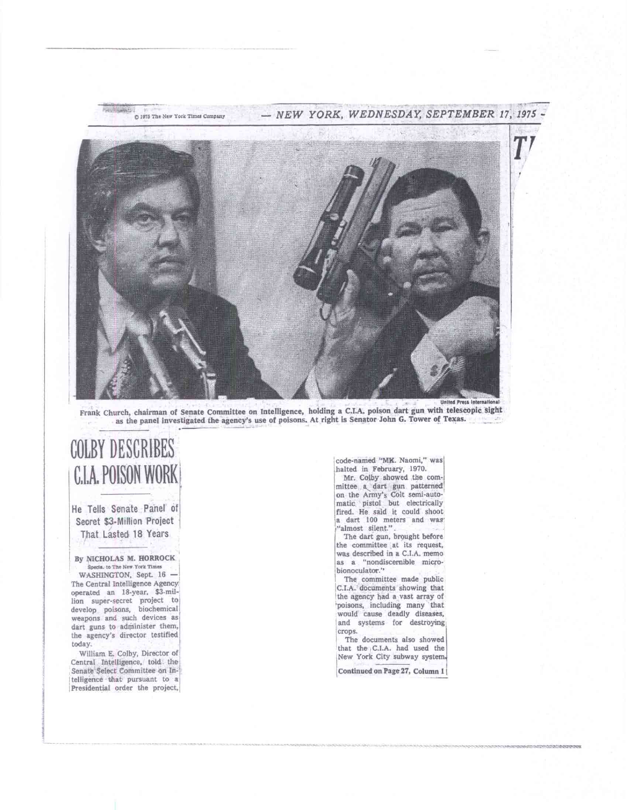

Frank Church, chairman of Senate Committee on Intelligence, holding a C.I.A. poison dart gun with telescopic sight as the panel investigated the agency's use of poisons. At right is Senator John G. Tower of Texas.

## COLBY DESCRIBES CIA, POISON WORK

**He** Tells Senate Panel of Secret \$3-Million Project That Lasted 18 Years

By NICHOLAS M. HORROCK Specia, to The New York Times

WASHINGTON, Sept. 16 -The Central Intelligence Agency operated an 18-year. \$3-million super-secret project to develop poisons, biochemical) weapons and such devices as dart guns to administer them, the agency's director testified, today.

William E. Colby, Director of Central Intelligence, told the Senate Select Committee on Intelligence that pursuant to a Presidential order the project,

code-named "MK. Naomi," was halted in February, 1970. Mr. Colby showed the committee a, dart gun patterned on the Army's Colt semi-automatic pistol but electrically fired. He said it could shoot a dart 100 meters and was "almost silent."

The dart gun, brought before the committee at its request, **was** described in a C.I.A. memo **as** a "nondiscernible microbionoculator."

The committee made public C.I.A. documents showing that the agency had a vast array of 'poisons, including many that would cause deadly diseases, and systems for destroying crops.

The documents also showed that the C.I.A. had used the New York City subway system.

**Continued on Page 27. Column I I**